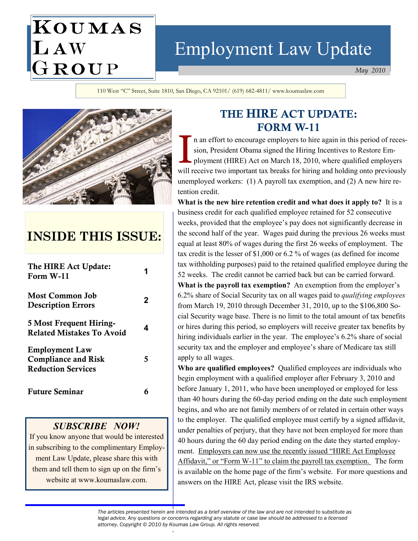# Employment Law Update

May 2010

110 West "C" Street, Suite 1810, San Diego, CA 92101/ (619) 682-4811/ www.koumaslaw.com



KOUMAS

LAW<br>GROUP

# INSIDE THIS ISSUE:

| The HIRE Act Update:<br>Form W-11                                                |   |
|----------------------------------------------------------------------------------|---|
| <b>Most Common Job</b><br><b>Description Errors</b>                              | 2 |
| 5 Most Frequent Hiring-<br><b>Related Mistakes To Avoid</b>                      | 4 |
| <b>Employment Law</b><br><b>Compliance and Risk</b><br><b>Reduction Services</b> | 5 |
| <b>Future Seminar</b>                                                            |   |

#### SUBSCRIBE NOW!

If you know anyone that would be interested in subscribing to the complimentary Employment Law Update, please share this with them and tell them to sign up on the firm's website at www.koumaslaw.com.

# THE HIRE ACT UPDATE: FORM W-11

**FORM W-11**<br>
In an effort to encourage employers to hire again in this period of reces-<br>
sion, President Obama signed the Hiring Incentives to Restore Employers<br>
ployment (HIRE) Act on March 18, 2010, where qualified emplo sion, President Obama signed the Hiring Incentives to Restore Employment (HIRE) Act on March 18, 2010, where qualified employers will receive two important tax breaks for hiring and holding onto previously unemployed workers: (1) A payroll tax exemption, and (2) A new hire retention credit.

What is the new hire retention credit and what does it apply to? It is a business credit for each qualified employee retained for 52 consecutive weeks, provided that the employee's pay does not significantly decrease in the second half of the year. Wages paid during the previous 26 weeks must equal at least 80% of wages during the first 26 weeks of employment. The tax credit is the lesser of \$1,000 or 6.2 % of wages (as defined for income tax withholding purposes) paid to the retained qualified employee during the 52 weeks. The credit cannot be carried back but can be carried forward. What is the payroll tax exemption? An exemption from the employer's 6.2% share of Social Security tax on all wages paid to qualifying employees from March 19, 2010 through December 31, 2010, up to the \$106,800 Social Security wage base. There is no limit to the total amount of tax benefits or hires during this period, so employers will receive greater tax benefits by hiring individuals earlier in the year. The employee's 6.2% share of social security tax and the employer and employee's share of Medicare tax still apply to all wages.

Who are qualified employees? Qualified employees are individuals who begin employment with a qualified employer after February 3, 2010 and before January 1, 2011, who have been unemployed or employed for less than 40 hours during the 60-day period ending on the date such employment begins, and who are not family members of or related in certain other ways to the employer. The qualified employee must certify by a signed affidavit, under penalties of perjury, that they have not been employed for more than 40 hours during the 60 day period ending on the date they started employment. Employers can now use the recently issued "HIRE Act Employee Affidavit," or "Form W-11" to claim the payroll tax exemption. The form is available on the home page of the firm's website. For more questions and answers on the HIRE Act, please visit the IRS website.

The articles presented herein are intended as a brief overview of the law and are not intended to substitute as legal advice. Any questions or concerns regarding any statute or case law should be addressed to a licensed attorney. Copyright © 2010 by Koumas Law Group. All rights reserved.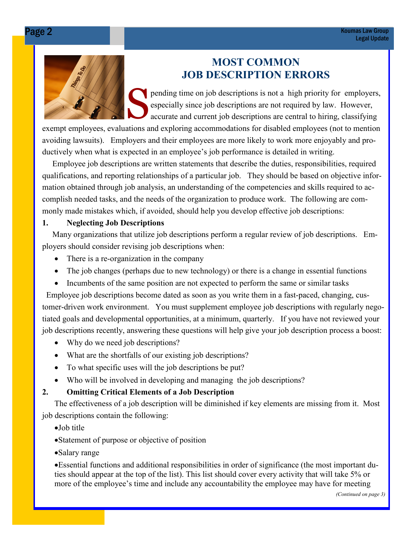# MOST COMMON JOB DESCRIPTION ERRORS

shippending time on job descriptions is not a high priority for employers, especially since job descriptions are not required by law. However, accurate and current job descriptions are central to hiring, classifying

exempt employees, evaluations and exploring accommodations for disabled employees (not to mention avoiding lawsuits). Employers and their employees are more likely to work more enjoyably and productively when what is expected in an employee's job performance is detailed in writing.

 Employee job descriptions are written statements that describe the duties, responsibilities, required qualifications, and reporting relationships of a particular job. They should be based on objective information obtained through job analysis, an understanding of the competencies and skills required to accomplish needed tasks, and the needs of the organization to produce work. The following are commonly made mistakes which, if avoided, should help you develop effective job descriptions:

#### 1. Neglecting Job Descriptions

 Many organizations that utilize job descriptions perform a regular review of job descriptions. Employers should consider revising job descriptions when:

- There is a re-organization in the company
- The job changes (perhaps due to new technology) or there is a change in essential functions
- Incumbents of the same position are not expected to perform the same or similar tasks

 Employee job descriptions become dated as soon as you write them in a fast-paced, changing, customer-driven work environment. You must supplement employee job descriptions with regularly negotiated goals and developmental opportunities, at a minimum, quarterly. If you have not reviewed your job descriptions recently, answering these questions will help give your job description process a boost:

- Why do we need job descriptions?
- What are the shortfalls of our existing job descriptions?
- To what specific uses will the job descriptions be put?
- Who will be involved in developing and managing the job descriptions?

## 2. Omitting Critical Elements of a Job Description

 The effectiveness of a job description will be diminished if key elements are missing from it. Most job descriptions contain the following:

•Job title

- •Statement of purpose or objective of position
- •Salary range

•Essential functions and additional responsibilities in order of significance (the most important duties should appear at the top of the list). This list should cover every activity that will take 5% or more of the employee's time and include any accountability the employee may have for meeting

(Continued on page 3)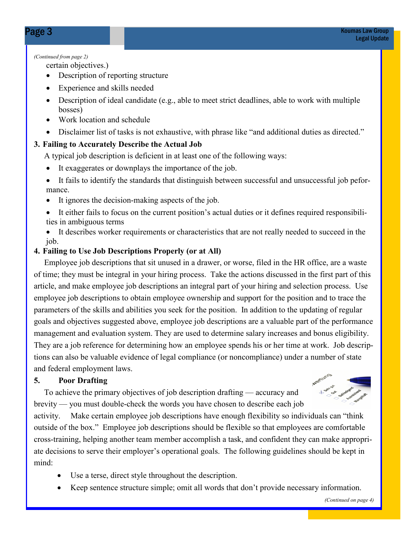#### (Continued from page 2)

certain objectives.)

- Description of reporting structure
- Experience and skills needed
- Description of ideal candidate (e.g., able to meet strict deadlines, able to work with multiple bosses)
- Work location and schedule
- Disclaimer list of tasks is not exhaustive, with phrase like "and additional duties as directed."

### 3. Failing to Accurately Describe the Actual Job

A typical job description is deficient in at least one of the following ways:

- It exaggerates or downplays the importance of the job.
- It fails to identify the standards that distinguish between successful and unsuccessful job peformance.
- It ignores the decision-making aspects of the job.
- It either fails to focus on the current position's actual duties or it defines required responsibilities in ambiguous terms
- It describes worker requirements or characteristics that are not really needed to succeed in the job.

### 4. Failing to Use Job Descriptions Properly (or at All)

 Employee job descriptions that sit unused in a drawer, or worse, filed in the HR office, are a waste of time; they must be integral in your hiring process. Take the actions discussed in the first part of this article, and make employee job descriptions an integral part of your hiring and selection process. Use employee job descriptions to obtain employee ownership and support for the position and to trace the parameters of the skills and abilities you seek for the position. In addition to the updating of regular goals and objectives suggested above, employee job descriptions are a valuable part of the performance management and evaluation system. They are used to determine salary increases and bonus eligibility. They are a job reference for determining how an employee spends his or her time at work. Job descriptions can also be valuable evidence of legal compliance (or noncompliance) under a number of state and federal employment laws.

### 5. Poor Drafting

 To achieve the primary objectives of job description drafting — accuracy and brevity — you must double-check the words you have chosen to describe each job



activity. Make certain employee job descriptions have enough flexibility so individuals can "think outside of the box." Employee job descriptions should be flexible so that employees are comfortable cross-training, helping another team member accomplish a task, and confident they can make appropriate decisions to serve their employer's operational goals. The following guidelines should be kept in mind:

- Use a terse, direct style throughout the description.
- Keep sentence structure simple; omit all words that don't provide necessary information.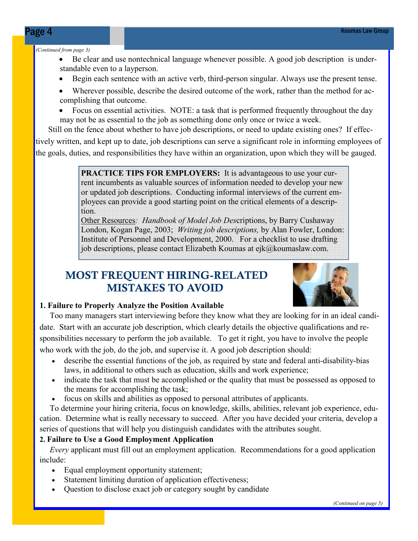#### (Continued from page 3)

- Be clear and use nontechnical language whenever possible. A good job description is understandable even to a layperson.
- Begin each sentence with an active verb, third-person singular. Always use the present tense.
- Wherever possible, describe the desired outcome of the work, rather than the method for accomplishing that outcome.
- Focus on essential activities. NOTE: a task that is performed frequently throughout the day may not be as essential to the job as something done only once or twice a week.

 Still on the fence about whether to have job descriptions, or need to update existing ones? If effectively written, and kept up to date, job descriptions can serve a significant role in informing employees of the goals, duties, and responsibilities they have within an organization, upon which they will be gauged.

> PRACTICE TIPS FOR EMPLOYERS: It is advantageous to use your current incumbents as valuable sources of information needed to develop your new or updated job descriptions. Conducting informal interviews of the current employees can provide a good starting point on the critical elements of a description.

> Other Resources: Handbook of Model Job Descriptions, by Barry Cushaway London, Kogan Page, 2003; Writing job descriptions, by Alan Fowler, London: Institute of Personnel and Development, 2000. For a checklist to use drafting job descriptions, please contact Elizabeth Koumas at ejk@koumaslaw.com.

# MOST FREQUENT HIRING-RELATED MISTAKES TO AVOID



#### 1. Failure to Properly Analyze the Position Available

 Too many managers start interviewing before they know what they are looking for in an ideal candidate. Start with an accurate job description, which clearly details the objective qualifications and responsibilities necessary to perform the job available. To get it right, you have to involve the people who work with the job, do the job, and supervise it. A good job description should:

- describe the essential functions of the job, as required by state and federal anti-disability-bias laws, in additional to others such as education, skills and work experience;
- indicate the task that must be accomplished or the quality that must be possessed as opposed to the means for accomplishing the task;
- focus on skills and abilities as opposed to personal attributes of applicants.

 To determine your hiring criteria, focus on knowledge, skills, abilities, relevant job experience, education. Determine what is really necessary to succeed. After you have decided your criteria, develop a series of questions that will help you distinguish candidates with the attributes sought.

#### 2. Failure to Use a Good Employment Application

 Every applicant must fill out an employment application. Recommendations for a good application include:

- Equal employment opportunity statement;
- Statement limiting duration of application effectiveness;
- Question to disclose exact job or category sought by candidate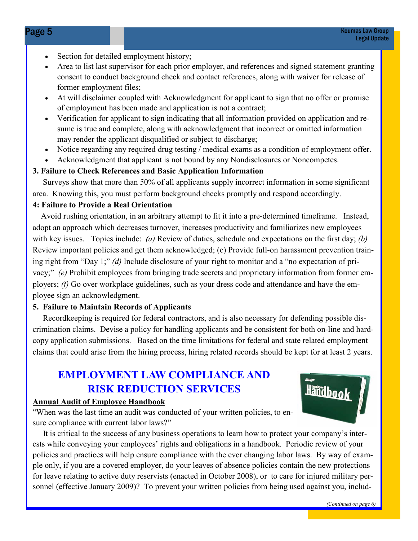- Section for detailed employment history;
- Area to list last supervisor for each prior employer, and references and signed statement granting consent to conduct background check and contact references, along with waiver for release of former employment files;
- At will disclaimer coupled with Acknowledgment for applicant to sign that no offer or promise of employment has been made and application is not a contract;
- Verification for applicant to sign indicating that all information provided on application and resume is true and complete, along with acknowledgment that incorrect or omitted information may render the applicant disqualified or subject to discharge;
- Notice regarding any required drug testing / medical exams as a condition of employment offer.
- Acknowledgment that applicant is not bound by any Nondisclosures or Noncompetes.

#### 3. Failure to Check References and Basic Application Information

 Surveys show that more than 50% of all applicants supply incorrect information in some significant area. Knowing this, you must perform background checks promptly and respond accordingly.

#### 4: Failure to Provide a Real Orientation

 Avoid rushing orientation, in an arbitrary attempt to fit it into a pre-determined timeframe. Instead, adopt an approach which decreases turnover, increases productivity and familiarizes new employees with key issues. Topics include: (a) Review of duties, schedule and expectations on the first day; (b) Review important policies and get them acknowledged; (c) Provide full-on harassment prevention training right from "Day 1;" (d) Include disclosure of your right to monitor and a "no expectation of privacy;" (e) Prohibit employees from bringing trade secrets and proprietary information from former employers; (f) Go over workplace guidelines, such as your dress code and attendance and have the employee sign an acknowledgment.

#### 5. Failure to Maintain Records of Applicants

 Recordkeeping is required for federal contractors, and is also necessary for defending possible discrimination claims. Devise a policy for handling applicants and be consistent for both on-line and hardcopy application submissions. Based on the time limitations for federal and state related employment claims that could arise from the hiring process, hiring related records should be kept for at least 2 years.

# EMPLOYMENT LAW COMPLIANCE AND RISK REDUCTION SERVICES

#### Annual Audit of Employee Handbook

"When was the last time an audit was conducted of your written policies, to ensure compliance with current labor laws?"

 It is critical to the success of any business operations to learn how to protect your company's interests while conveying your employees' rights and obligations in a handbook. Periodic review of your policies and practices will help ensure compliance with the ever changing labor laws. By way of example only, if you are a covered employer, do your leaves of absence policies contain the new protections for leave relating to active duty reservists (enacted in October 2008), or to care for injured military personnel (effective January 2009)? To prevent your written policies from being used against you, includ-